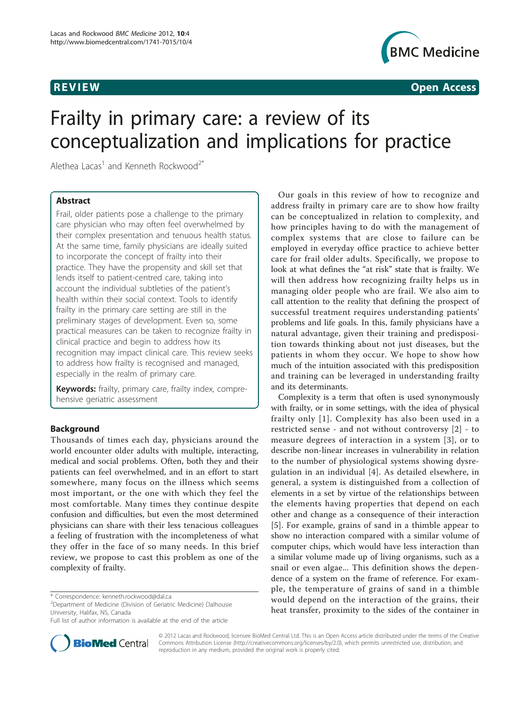

**REVIEW REVIEW CONSTRUCTER ACCESS** 

# Frailty in primary care: a review of its conceptualization and implications for practice

Alethea Lacas<sup>1</sup> and Kenneth Rockwood<sup>2\*</sup>

# Abstract

Frail, older patients pose a challenge to the primary care physician who may often feel overwhelmed by their complex presentation and tenuous health status. At the same time, family physicians are ideally suited to incorporate the concept of frailty into their practice. They have the propensity and skill set that lends itself to patient-centred care, taking into account the individual subtleties of the patient's health within their social context. Tools to identify frailty in the primary care setting are still in the preliminary stages of development. Even so, some practical measures can be taken to recognize frailty in clinical practice and begin to address how its recognition may impact clinical care. This review seeks to address how frailty is recognised and managed, especially in the realm of primary care.

Keywords: frailty, primary care, frailty index, comprehensive geriatric assessment

# Background

Thousands of times each day, physicians around the world encounter older adults with multiple, interacting, medical and social problems. Often, both they and their patients can feel overwhelmed, and in an effort to start somewhere, many focus on the illness which seems most important, or the one with which they feel the most comfortable. Many times they continue despite confusion and difficulties, but even the most determined physicians can share with their less tenacious colleagues a feeling of frustration with the incompleteness of what they offer in the face of so many needs. In this brief review, we propose to cast this problem as one of the complexity of frailty.

2 Department of Medicine (Division of Geriatric Medicine) Dalhousie University, Halifax, NS, Canada

Full list of author information is available at the end of the article



Our goals in this review of how to recognize and address frailty in primary care are to show how frailty can be conceptualized in relation to complexity, and how principles having to do with the management of complex systems that are close to failure can be employed in everyday office practice to achieve better care for frail older adults. Specifically, we propose to look at what defines the "at risk" state that is frailty. We will then address how recognizing frailty helps us in managing older people who are frail. We also aim to call attention to the reality that defining the prospect of successful treatment requires understanding patients' problems and life goals. In this, family physicians have a natural advantage, given their training and predisposition towards thinking about not just diseases, but the patients in whom they occur. We hope to show how much of the intuition associated with this predisposition and training can be leveraged in understanding frailty and its determinants.

Complexity is a term that often is used synonymously with frailty, or in some settings, with the idea of physical frailty only [[1](#page-6-0)]. Complexity has also been used in a restricted sense - and not without controversy [[2](#page-6-0)] - to measure degrees of interaction in a system [[3](#page-6-0)], or to describe non-linear increases in vulnerability in relation to the number of physiological systems showing dysregulation in an individual [\[4\]](#page-6-0). As detailed elsewhere, in general, a system is distinguished from a collection of elements in a set by virtue of the relationships between the elements having properties that depend on each other and change as a consequence of their interaction [[5](#page-6-0)]. For example, grains of sand in a thimble appear to show no interaction compared with a similar volume of computer chips, which would have less interaction than a similar volume made up of living organisms, such as a snail or even algae... This definition shows the dependence of a system on the frame of reference. For example, the temperature of grains of sand in a thimble would depend on the interaction of the grains, their heat transfer, proximity to the sides of the container in

© 2012 Lacas and Rockwood; licensee BioMed Central Ltd. This is an Open Access article distributed under the terms of the Creative Commons Attribution License [\(http://creativecommons.org/licenses/by/2.0](http://creativecommons.org/licenses/by/2.0)), which permits unrestricted use, distribution, and reproduction in any medium, provided the original work is properly cited.

<sup>\*</sup> Correspondence: [kenneth.rockwood@dal.ca](mailto:kenneth.rockwood@dal.ca)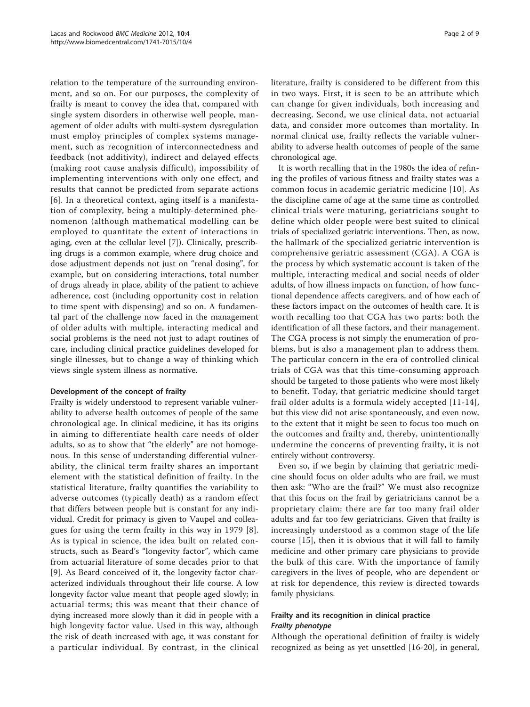relation to the temperature of the surrounding environment, and so on. For our purposes, the complexity of frailty is meant to convey the idea that, compared with single system disorders in otherwise well people, management of older adults with multi-system dysregulation must employ principles of complex systems management, such as recognition of interconnectedness and feedback (not additivity), indirect and delayed effects (making root cause analysis difficult), impossibility of implementing interventions with only one effect, and results that cannot be predicted from separate actions [[6](#page-6-0)]. In a theoretical context, aging itself is a manifestation of complexity, being a multiply-determined phenomenon (although mathematical modelling can be employed to quantitate the extent of interactions in aging, even at the cellular level [[7\]](#page-6-0)). Clinically, prescribing drugs is a common example, where drug choice and dose adjustment depends not just on "renal dosing", for example, but on considering interactions, total number of drugs already in place, ability of the patient to achieve adherence, cost (including opportunity cost in relation to time spent with dispensing) and so on. A fundamental part of the challenge now faced in the management of older adults with multiple, interacting medical and social problems is the need not just to adapt routines of care, including clinical practice guidelines developed for single illnesses, but to change a way of thinking which views single system illness as normative.

# Development of the concept of frailty

Frailty is widely understood to represent variable vulnerability to adverse health outcomes of people of the same chronological age. In clinical medicine, it has its origins in aiming to differentiate health care needs of older adults, so as to show that "the elderly" are not homogenous. In this sense of understanding differential vulnerability, the clinical term frailty shares an important element with the statistical definition of frailty. In the statistical literature, frailty quantifies the variability to adverse outcomes (typically death) as a random effect that differs between people but is constant for any individual. Credit for primacy is given to Vaupel and colleagues for using the term frailty in this way in 1979 [[8](#page-6-0)]. As is typical in science, the idea built on related constructs, such as Beard's "longevity factor", which came from actuarial literature of some decades prior to that [[9\]](#page-6-0). As Beard conceived of it, the longevity factor characterized individuals throughout their life course. A low longevity factor value meant that people aged slowly; in actuarial terms; this was meant that their chance of dying increased more slowly than it did in people with a high longevity factor value. Used in this way, although the risk of death increased with age, it was constant for a particular individual. By contrast, in the clinical literature, frailty is considered to be different from this in two ways. First, it is seen to be an attribute which can change for given individuals, both increasing and decreasing. Second, we use clinical data, not actuarial data, and consider more outcomes than mortality. In normal clinical use, frailty reflects the variable vulnerability to adverse health outcomes of people of the same chronological age.

It is worth recalling that in the 1980s the idea of refining the profiles of various fitness and frailty states was a common focus in academic geriatric medicine [[10\]](#page-6-0). As the discipline came of age at the same time as controlled clinical trials were maturing, geriatricians sought to define which older people were best suited to clinical trials of specialized geriatric interventions. Then, as now, the hallmark of the specialized geriatric intervention is comprehensive geriatric assessment (CGA). A CGA is the process by which systematic account is taken of the multiple, interacting medical and social needs of older adults, of how illness impacts on function, of how functional dependence affects caregivers, and of how each of these factors impact on the outcomes of health care. It is worth recalling too that CGA has two parts: both the identification of all these factors, and their management. The CGA process is not simply the enumeration of problems, but is also a management plan to address them. The particular concern in the era of controlled clinical trials of CGA was that this time-consuming approach should be targeted to those patients who were most likely to benefit. Today, that geriatric medicine should target frail older adults is a formula widely accepted [[11-14](#page-6-0)], but this view did not arise spontaneously, and even now, to the extent that it might be seen to focus too much on the outcomes and frailty and, thereby, unintentionally undermine the concerns of preventing frailty, it is not entirely without controversy.

Even so, if we begin by claiming that geriatric medicine should focus on older adults who are frail, we must then ask: "Who are the frail?" We must also recognize that this focus on the frail by geriatricians cannot be a proprietary claim; there are far too many frail older adults and far too few geriatricians. Given that frailty is increasingly understood as a common stage of the life course [[15](#page-6-0)], then it is obvious that it will fall to family medicine and other primary care physicians to provide the bulk of this care. With the importance of family caregivers in the lives of people, who are dependent or at risk for dependence, this review is directed towards family physicians.

# Frailty and its recognition in clinical practice Frailty phenotype

Although the operational definition of frailty is widely recognized as being as yet unsettled [[16](#page-6-0)-[20\]](#page-6-0), in general,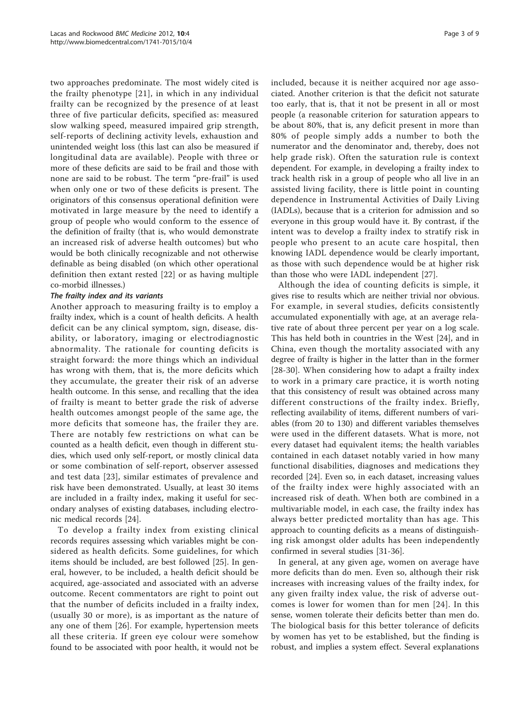two approaches predominate. The most widely cited is the frailty phenotype [\[21\]](#page-6-0), in which in any individual frailty can be recognized by the presence of at least three of five particular deficits, specified as: measured slow walking speed, measured impaired grip strength, self-reports of declining activity levels, exhaustion and unintended weight loss (this last can also be measured if longitudinal data are available). People with three or more of these deficits are said to be frail and those with none are said to be robust. The term "pre-frail" is used when only one or two of these deficits is present. The originators of this consensus operational definition were motivated in large measure by the need to identify a group of people who would conform to the essence of the definition of frailty (that is, who would demonstrate an increased risk of adverse health outcomes) but who would be both clinically recognizable and not otherwise definable as being disabled (on which other operational definition then extant rested [[22\]](#page-6-0) or as having multiple co-morbid illnesses.)

# The frailty index and its variants

Another approach to measuring frailty is to employ a frailty index, which is a count of health deficits. A health deficit can be any clinical symptom, sign, disease, disability, or laboratory, imaging or electrodiagnostic abnormality. The rationale for counting deficits is straight forward: the more things which an individual has wrong with them, that is, the more deficits which they accumulate, the greater their risk of an adverse health outcome. In this sense, and recalling that the idea of frailty is meant to better grade the risk of adverse health outcomes amongst people of the same age, the more deficits that someone has, the frailer they are. There are notably few restrictions on what can be counted as a health deficit, even though in different studies, which used only self-report, or mostly clinical data or some combination of self-report, observer assessed and test data [\[23\]](#page-6-0), similar estimates of prevalence and risk have been demonstrated. Usually, at least 30 items are included in a frailty index, making it useful for secondary analyses of existing databases, including electronic medical records [[24](#page-6-0)].

To develop a frailty index from existing clinical records requires assessing which variables might be considered as health deficits. Some guidelines, for which items should be included, are best followed [\[25\]](#page-6-0). In general, however, to be included, a health deficit should be acquired, age-associated and associated with an adverse outcome. Recent commentators are right to point out that the number of deficits included in a frailty index, (usually 30 or more), is as important as the nature of any one of them [[26\]](#page-6-0). For example, hypertension meets all these criteria. If green eye colour were somehow found to be associated with poor health, it would not be included, because it is neither acquired nor age associated. Another criterion is that the deficit not saturate too early, that is, that it not be present in all or most people (a reasonable criterion for saturation appears to be about 80%, that is, any deficit present in more than 80% of people simply adds a number to both the numerator and the denominator and, thereby, does not help grade risk). Often the saturation rule is context dependent. For example, in developing a frailty index to track health risk in a group of people who all live in an assisted living facility, there is little point in counting dependence in Instrumental Activities of Daily Living (IADLs), because that is a criterion for admission and so everyone in this group would have it. By contrast, if the intent was to develop a frailty index to stratify risk in people who present to an acute care hospital, then knowing IADL dependence would be clearly important, as those with such dependence would be at higher risk than those who were IADL independent [[27\]](#page-6-0).

Although the idea of counting deficits is simple, it gives rise to results which are neither trivial nor obvious. For example, in several studies, deficits consistently accumulated exponentially with age, at an average relative rate of about three percent per year on a log scale. This has held both in countries in the West [[24\]](#page-6-0), and in China, even though the mortality associated with any degree of frailty is higher in the latter than in the former [[28-](#page-6-0)[30\]](#page-7-0). When considering how to adapt a frailty index to work in a primary care practice, it is worth noting that this consistency of result was obtained across many different constructions of the frailty index. Briefly, reflecting availability of items, different numbers of variables (from 20 to 130) and different variables themselves were used in the different datasets. What is more, not every dataset had equivalent items; the health variables contained in each dataset notably varied in how many functional disabilities, diagnoses and medications they recorded [\[24\]](#page-6-0). Even so, in each dataset, increasing values of the frailty index were highly associated with an increased risk of death. When both are combined in a multivariable model, in each case, the frailty index has always better predicted mortality than has age. This approach to counting deficits as a means of distinguishing risk amongst older adults has been independently confirmed in several studies [\[31-36](#page-7-0)].

In general, at any given age, women on average have more deficits than do men. Even so, although their risk increases with increasing values of the frailty index, for any given frailty index value, the risk of adverse outcomes is lower for women than for men [[24](#page-6-0)]. In this sense, women tolerate their deficits better than men do. The biological basis for this better tolerance of deficits by women has yet to be established, but the finding is robust, and implies a system effect. Several explanations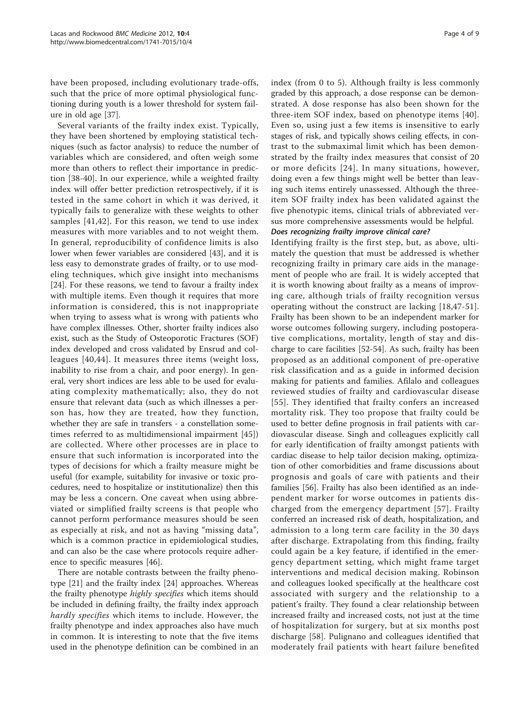have been proposed, including evolutionary trade-offs, such that the price of more optimal physiological functioning during youth is a lower threshold for system failure in old age [\[37](#page-7-0)].

Several variants of the frailty index exist. Typically, they have been shortened by employing statistical techniques (such as factor analysis) to reduce the number of variables which are considered, and often weigh some more than others to reflect their importance in prediction [[38-40\]](#page-7-0). In our experience, while a weighted frailty index will offer better prediction retrospectively, if it is tested in the same cohort in which it was derived, it typically fails to generalize with these weights to other samples [\[41](#page-7-0),[42](#page-7-0)]. For this reason, we tend to use index measures with more variables and to not weight them. In general, reproducibility of confidence limits is also lower when fewer variables are considered [\[43](#page-7-0)], and it is less easy to demonstrate grades of frailty, or to use modeling techniques, which give insight into mechanisms [[24\]](#page-6-0). For these reasons, we tend to favour a frailty index with multiple items. Even though it requires that more information is considered, this is not inappropriate when trying to assess what is wrong with patients who have complex illnesses. Other, shorter frailty indices also exist, such as the Study of Osteoporotic Fractures (SOF) index developed and cross validated by Ensrud and colleagues [\[40,44\]](#page-7-0). It measures three items (weight loss, inability to rise from a chair, and poor energy). In general, very short indices are less able to be used for evaluating complexity mathematically; also, they do not ensure that relevant data (such as which illnesses a person has, how they are treated, how they function, whether they are safe in transfers - a constellation sometimes referred to as multidimensional impairment [\[45](#page-7-0)]) are collected. Where other processes are in place to ensure that such information is incorporated into the types of decisions for which a frailty measure might be useful (for example, suitability for invasive or toxic procedures, need to hospitalize or institutionalize) then this may be less a concern. One caveat when using abbreviated or simplified frailty screens is that people who cannot perform performance measures should be seen as especially at risk, and not as having "missing data", which is a common practice in epidemiological studies, and can also be the case where protocols require adherence to specific measures [\[46](#page-7-0)].

There are notable contrasts between the frailty phenotype [\[21](#page-6-0)] and the frailty index [[24\]](#page-6-0) approaches. Whereas the frailty phenotype *highly specifies* which items should be included in defining frailty, the frailty index approach hardly specifies which items to include. However, the frailty phenotype and index approaches also have much in common. It is interesting to note that the five items used in the phenotype definition can be combined in an index (from 0 to 5). Although frailty is less commonly graded by this approach, a dose response can be demonstrated. A dose response has also been shown for the three-item SOF index, based on phenotype items [[40](#page-7-0)]. Even so, using just a few items is insensitive to early stages of risk, and typically shows ceiling effects, in contrast to the submaximal limit which has been demonstrated by the frailty index measures that consist of 20 or more deficits [[24\]](#page-6-0). In many situations, however, doing even a few things might well be better than leaving such items entirely unassessed. Although the threeitem SOF frailty index has been validated against the five phenotypic items, clinical trials of abbreviated versus more comprehensive assessments would be helpful.

# Does recognizing frailty improve clinical care?

Identifying frailty is the first step, but, as above, ultimately the question that must be addressed is whether recognizing frailty in primary care aids in the management of people who are frail. It is widely accepted that it is worth knowing about frailty as a means of improving care, although trials of frailty recognition versus operating without the construct are lacking [[18,](#page-6-0)[47](#page-7-0)-[51](#page-7-0)]. Frailty has been shown to be an independent marker for worse outcomes following surgery, including postoperative complications, mortality, length of stay and discharge to care facilities [[52-54](#page-7-0)]. As such, frailty has been proposed as an additional component of pre-operative risk classification and as a guide in informed decision making for patients and families. Afilalo and colleagues reviewed studies of frailty and cardiovascular disease [[55\]](#page-7-0). They identified that frailty confers an increased mortality risk. They too propose that frailty could be used to better define prognosis in frail patients with cardiovascular disease. Singh and colleagues explicitly call for early identification of frailty amongst patients with cardiac disease to help tailor decision making, optimization of other comorbidities and frame discussions about prognosis and goals of care with patients and their families [[56\]](#page-7-0). Frailty has also been identified as an independent marker for worse outcomes in patients discharged from the emergency department [[57\]](#page-7-0). Frailty conferred an increased risk of death, hospitalization, and admission to a long term care facility in the 30 days after discharge. Extrapolating from this finding, frailty could again be a key feature, if identified in the emergency department setting, which might frame target interventions and medical decision making. Robinson and colleagues looked specifically at the healthcare cost associated with surgery and the relationship to a patient's frailty. They found a clear relationship between increased frailty and increased costs, not just at the time of hospitalization for surgery, but at six months post discharge [[58\]](#page-7-0). Pulignano and colleagues identified that moderately frail patients with heart failure benefited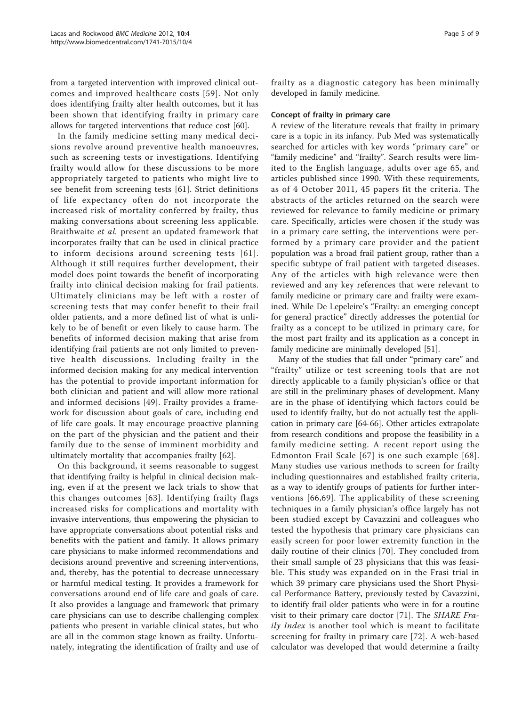from a targeted intervention with improved clinical outcomes and improved healthcare costs [[59\]](#page-7-0). Not only does identifying frailty alter health outcomes, but it has been shown that identifying frailty in primary care allows for targeted interventions that reduce cost [\[60\]](#page-7-0).

In the family medicine setting many medical decisions revolve around preventive health manoeuvres, such as screening tests or investigations. Identifying frailty would allow for these discussions to be more appropriately targeted to patients who might live to see benefit from screening tests [[61\]](#page-7-0). Strict definitions of life expectancy often do not incorporate the increased risk of mortality conferred by frailty, thus making conversations about screening less applicable. Braithwaite et al. present an updated framework that incorporates frailty that can be used in clinical practice to inform decisions around screening tests [[61\]](#page-7-0). Although it still requires further development, their model does point towards the benefit of incorporating frailty into clinical decision making for frail patients. Ultimately clinicians may be left with a roster of screening tests that may confer benefit to their frail older patients, and a more defined list of what is unlikely to be of benefit or even likely to cause harm. The benefits of informed decision making that arise from identifying frail patients are not only limited to preventive health discussions. Including frailty in the informed decision making for any medical intervention has the potential to provide important information for both clinician and patient and will allow more rational and informed decisions [\[49\]](#page-7-0). Frailty provides a framework for discussion about goals of care, including end of life care goals. It may encourage proactive planning on the part of the physician and the patient and their family due to the sense of imminent morbidity and ultimately mortality that accompanies frailty [[62\]](#page-7-0).

On this background, it seems reasonable to suggest that identifying frailty is helpful in clinical decision making, even if at the present we lack trials to show that this changes outcomes [[63](#page-7-0)]. Identifying frailty flags increased risks for complications and mortality with invasive interventions, thus empowering the physician to have appropriate conversations about potential risks and benefits with the patient and family. It allows primary care physicians to make informed recommendations and decisions around preventive and screening interventions, and, thereby, has the potential to decrease unnecessary or harmful medical testing. It provides a framework for conversations around end of life care and goals of care. It also provides a language and framework that primary care physicians can use to describe challenging complex patients who present in variable clinical states, but who are all in the common stage known as frailty. Unfortunately, integrating the identification of frailty and use of frailty as a diagnostic category has been minimally developed in family medicine.

# Concept of frailty in primary care

A review of the literature reveals that frailty in primary care is a topic in its infancy. Pub Med was systematically searched for articles with key words "primary care" or "family medicine" and "frailty". Search results were limited to the English language, adults over age 65, and articles published since 1990. With these requirements, as of 4 October 2011, 45 papers fit the criteria. The abstracts of the articles returned on the search were reviewed for relevance to family medicine or primary care. Specifically, articles were chosen if the study was in a primary care setting, the interventions were performed by a primary care provider and the patient population was a broad frail patient group, rather than a specific subtype of frail patient with targeted diseases. Any of the articles with high relevance were then reviewed and any key references that were relevant to family medicine or primary care and frailty were examined. While De Lepeleire's "Frailty: an emerging concept for general practice" directly addresses the potential for frailty as a concept to be utilized in primary care, for the most part frailty and its application as a concept in family medicine are minimally developed [[51](#page-7-0)].

Many of the studies that fall under "primary care" and "frailty" utilize or test screening tools that are not directly applicable to a family physician's office or that are still in the preliminary phases of development. Many are in the phase of identifying which factors could be used to identify frailty, but do not actually test the application in primary care [\[64](#page-7-0)-[66\]](#page-7-0). Other articles extrapolate from research conditions and propose the feasibility in a family medicine setting. A recent report using the Edmonton Frail Scale [\[67\]](#page-7-0) is one such example [\[68\]](#page-7-0). Many studies use various methods to screen for frailty including questionnaires and established frailty criteria, as a way to identify groups of patients for further interventions [[66](#page-7-0),[69\]](#page-7-0). The applicability of these screening techniques in a family physician's office largely has not been studied except by Cavazzini and colleagues who tested the hypothesis that primary care physicians can easily screen for poor lower extremity function in the daily routine of their clinics [[70\]](#page-7-0). They concluded from their small sample of 23 physicians that this was feasible. This study was expanded on in the Frasi trial in which 39 primary care physicians used the Short Physical Performance Battery, previously tested by Cavazzini, to identify frail older patients who were in for a routine visit to their primary care doctor [\[71](#page-7-0)]. The SHARE Fraily Index is another tool which is meant to facilitate screening for frailty in primary care [[72\]](#page-7-0). A web-based calculator was developed that would determine a frailty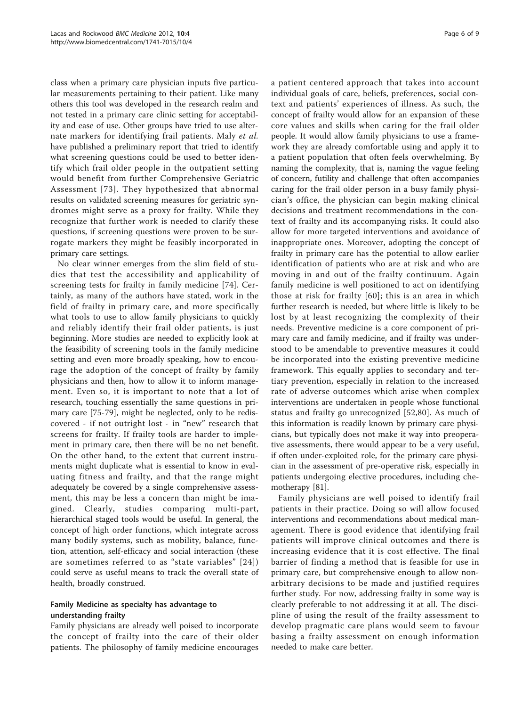class when a primary care physician inputs five particular measurements pertaining to their patient. Like many others this tool was developed in the research realm and not tested in a primary care clinic setting for acceptability and ease of use. Other groups have tried to use alternate markers for identifying frail patients. Maly et al. have published a preliminary report that tried to identify what screening questions could be used to better identify which frail older people in the outpatient setting would benefit from further Comprehensive Geriatric Assessment [[73](#page-7-0)]. They hypothesized that abnormal results on validated screening measures for geriatric syndromes might serve as a proxy for frailty. While they recognize that further work is needed to clarify these questions, if screening questions were proven to be surrogate markers they might be feasibly incorporated in primary care settings.

No clear winner emerges from the slim field of studies that test the accessibility and applicability of screening tests for frailty in family medicine [[74\]](#page-7-0). Certainly, as many of the authors have stated, work in the field of frailty in primary care, and more specifically what tools to use to allow family physicians to quickly and reliably identify their frail older patients, is just beginning. More studies are needed to explicitly look at the feasibility of screening tools in the family medicine setting and even more broadly speaking, how to encourage the adoption of the concept of frailty by family physicians and then, how to allow it to inform management. Even so, it is important to note that a lot of research, touching essentially the same questions in primary care [\[75](#page-7-0)-[79\]](#page-8-0), might be neglected, only to be rediscovered - if not outright lost - in "new" research that screens for frailty. If frailty tools are harder to implement in primary care, then there will be no net benefit. On the other hand, to the extent that current instruments might duplicate what is essential to know in evaluating fitness and frailty, and that the range might adequately be covered by a single comprehensive assessment, this may be less a concern than might be imagined. Clearly, studies comparing multi-part, hierarchical staged tools would be useful. In general, the concept of high order functions, which integrate across many bodily systems, such as mobility, balance, function, attention, self-efficacy and social interaction (these are sometimes referred to as "state variables" [[24\]](#page-6-0)) could serve as useful means to track the overall state of health, broadly construed.

# Family Medicine as specialty has advantage to understanding frailty

Family physicians are already well poised to incorporate the concept of frailty into the care of their older patients. The philosophy of family medicine encourages a patient centered approach that takes into account individual goals of care, beliefs, preferences, social context and patients' experiences of illness. As such, the concept of frailty would allow for an expansion of these core values and skills when caring for the frail older people. It would allow family physicians to use a framework they are already comfortable using and apply it to a patient population that often feels overwhelming. By naming the complexity, that is, naming the vague feeling of concern, futility and challenge that often accompanies caring for the frail older person in a busy family physician's office, the physician can begin making clinical decisions and treatment recommendations in the context of frailty and its accompanying risks. It could also allow for more targeted interventions and avoidance of inappropriate ones. Moreover, adopting the concept of frailty in primary care has the potential to allow earlier identification of patients who are at risk and who are moving in and out of the frailty continuum. Again family medicine is well positioned to act on identifying those at risk for frailty [[60](#page-7-0)]; this is an area in which further research is needed, but where little is likely to be lost by at least recognizing the complexity of their needs. Preventive medicine is a core component of primary care and family medicine, and if frailty was understood to be amendable to preventive measures it could be incorporated into the existing preventive medicine framework. This equally applies to secondary and tertiary prevention, especially in relation to the increased rate of adverse outcomes which arise when complex interventions are undertaken in people whose functional status and frailty go unrecognized [[52](#page-7-0)[,80\]](#page-8-0). As much of this information is readily known by primary care physicians, but typically does not make it way into preoperative assessments, there would appear to be a very useful, if often under-exploited role, for the primary care physician in the assessment of pre-operative risk, especially in patients undergoing elective procedures, including chemotherapy [[81\]](#page-8-0).

Family physicians are well poised to identify frail patients in their practice. Doing so will allow focused interventions and recommendations about medical management. There is good evidence that identifying frail patients will improve clinical outcomes and there is increasing evidence that it is cost effective. The final barrier of finding a method that is feasible for use in primary care, but comprehensive enough to allow nonarbitrary decisions to be made and justified requires further study. For now, addressing frailty in some way is clearly preferable to not addressing it at all. The discipline of using the result of the frailty assessment to develop pragmatic care plans would seem to favour basing a frailty assessment on enough information needed to make care better.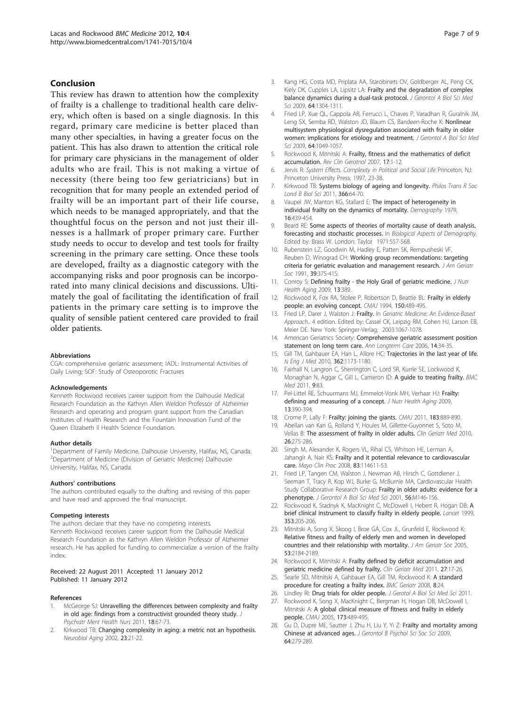# <span id="page-6-0"></span>Conclusion

This review has drawn to attention how the complexity of frailty is a challenge to traditional health care delivery, which often is based on a single diagnosis. In this regard, primary care medicine is better placed than many other specialties, in having a greater focus on the patient. This has also drawn to attention the critical role for primary care physicians in the management of older adults who are frail. This is not making a virtue of necessity (there being too few geriatricians) but in recognition that for many people an extended period of frailty will be an important part of their life course, which needs to be managed appropriately, and that the thoughtful focus on the person and not just their illnesses is a hallmark of proper primary care. Further study needs to occur to develop and test tools for frailty screening in the primary care setting. Once these tools are developed, frailty as a diagnostic category with the accompanying risks and poor prognosis can be incorporated into many clinical decisions and discussions. Ultimately the goal of facilitating the identification of frail patients in the primary care setting is to improve the quality of sensible patient centered care provided to frail older patients.

#### Abbreviations

CGA: comprehensive geriatric assessment; IADL: Instrumental Activities of Daily Living; SOF: Study of Osteoporotic Fractures

#### Acknowledgements

Kenneth Rockwood receives career support from the Dalhousie Medical Research Foundation as the Kathryn Allen Weldon Professor of Alzheimer Research and operating and program grant support from the Canadian Institutes of Health Research and the Fountain Innovation Fund of the Queen Elizabeth II Health Science Foundation.

#### Author details

<sup>1</sup>Department of Family Medicine, Dalhousie University, Halifax, NS, Canada. 2 Department of Medicine (Division of Geriatric Medicine) Dalhousie University, Halifax, NS, Canada.

#### Authors' contributions

The authors contributed equally to the drafting and revising of this paper and have read and approved the final manuscript.

#### Competing interests

The authors declare that they have no competing interests. Kenneth Rockwood receives career support from the Dalhousie Medical Research Foundation as the Kathryn Allen Weldon Professor of Alzheimer research. He has applied for funding to commercialize a version of the frailty index.

#### Received: 22 August 2011 Accepted: 11 January 2012 Published: 11 January 2012

#### References

- 1. McGeorge SJ: [Unravelling the differences between complexity and frailty](http://www.ncbi.nlm.nih.gov/pubmed/21214686?dopt=Abstract) [in old age: findings from a constructivist grounded theory study.](http://www.ncbi.nlm.nih.gov/pubmed/21214686?dopt=Abstract) J Psychiatr Ment Health Nurs 2011, 18:67-73.
- Kirkwood TB: [Changing complexity in aging: a metric not an hypothesis.](http://www.ncbi.nlm.nih.gov/pubmed/11755013?dopt=Abstract) Neurobiol Aging 2002, 23:21-22.
- 3. Kang HG, Costa MD, Priplata AA, Starobinets OV, Goldberger AL, Peng CK, Kiely DK, Cupples LA, Lipsitz LA: [Frailty and the degradation of complex](http://www.ncbi.nlm.nih.gov/pubmed/19679739?dopt=Abstract) [balance dynamics during a dual-task protocol.](http://www.ncbi.nlm.nih.gov/pubmed/19679739?dopt=Abstract) J Gerontol A Biol Sci Med Sci 2009, 64:1304-1311.
- 4. Fried LP, Xue QL, Cappola AR, Ferrucci L, Chaves P, Varadhan R, Guralnik JM, Leng SX, Semba RD, Walston JD, Blaum CS, Bandeen-Roche K: [Nonlinear](http://www.ncbi.nlm.nih.gov/pubmed/19567825?dopt=Abstract) [multisystem physiological dysregulation associated with frailty in older](http://www.ncbi.nlm.nih.gov/pubmed/19567825?dopt=Abstract) [women: implications for etiology and treatment.](http://www.ncbi.nlm.nih.gov/pubmed/19567825?dopt=Abstract) J Gerontol A Biol Sci Med Sci 2009, 64:1049-1057.
- 5. Rockwood K, Mitnitski A: Frailty, fitness and the mathematics of deficit accumulation. Rev Clin Gerotnol 2007, 17:1-12.
- 6. Jervis R: System Effects. Complexity in Political and Social Life Princeton, NJ: Princeton University Press; 1997, 23-38.
- 7. Kirkwood TB: [Systems biology of ageing and longevity.](http://www.ncbi.nlm.nih.gov/pubmed/21115531?dopt=Abstract) Philos Trans R Soc Lond B Biol Sci 2011, 366:64-70.
- 8. Vaupel JW, Manton KG, Stallard E: [The impact of heterogeneity in](http://www.ncbi.nlm.nih.gov/pubmed/510638?dopt=Abstract) [individual frailty on the dynamics of mortality.](http://www.ncbi.nlm.nih.gov/pubmed/510638?dopt=Abstract) Demography 1979, 16:439-454.
- 9. Beard RE: Some aspects of theories of mortality cause of death analysis, forecasting and stochastic processes. In Biological Aspects of Demography. Edited by: Brass W. London: Taylor 1971:557-568.
- 10. Rubenstein LZ, Goodwin M, Hadley E, Patten SK, Rempusheski VF, Reuben D, Winograd CH: [Working group recommendations: targeting](http://www.ncbi.nlm.nih.gov/pubmed/1885876?dopt=Abstract) [criteria for geriatric evaluation and management research.](http://www.ncbi.nlm.nih.gov/pubmed/1885876?dopt=Abstract) J Am Geriatr Soc 1991, 39:37S-41S.
- 11. Conroy S: [Defining frailty the Holy Grail of geriatric medicine.](http://www.ncbi.nlm.nih.gov/pubmed/19300887?dopt=Abstract) J Nutr Health Aging 2009, 13:389.
- 12. Rockwood K, Fox RA, Stolee P, Robertson D, Beattie BL: [Frailty in elderly](http://www.ncbi.nlm.nih.gov/pubmed/8313261?dopt=Abstract) [people: an evolving concept.](http://www.ncbi.nlm.nih.gov/pubmed/8313261?dopt=Abstract) CMAJ 1994, 150:489-495.
- 13. Fried LP, Darer J, Walston J: Frailty. In Geriatric Medicine: An Evidence-Based Approach.. 4 edition. Edited by: Cassel CK, Leipzig RM, Cohen HJ, Larson EB, Meier DE. New York: Springer-Verlag; 2003:1067-1078.
- 14. American Geriatrics Society: Comprehensive geriatric assessment position statement on long term care. Ann Longterm Care 2006, 14:34-35.
- 15. Gill TM, Gahbauer EA, Han L, Allore HC: Trajectories in the last year of life. N Eng J Med 2010, 362:1173-1180.
- 16. Fairhall N, Langron C, Sherrington C, Lord SR, Kurrle SE, Lockwood K, Monaghan N, Aggar C, Gill L, Cameron ID: [A guide to treating frailty.](http://www.ncbi.nlm.nih.gov/pubmed/21733149?dopt=Abstract) BMC Med 2011, 9:83.
- 17. Pel-Littel RE, Schuurmans MJ, Emmelot-Vonk MH, Verhaar HJ: [Frailty:](http://www.ncbi.nlm.nih.gov/pubmed/19300888?dopt=Abstract) [defining and measuring of a concept.](http://www.ncbi.nlm.nih.gov/pubmed/19300888?dopt=Abstract) J Nutr Health Aging 2009, 13:390-394.
- 18. Crome P, Lally F: [Frailty: joining the giants.](http://www.ncbi.nlm.nih.gov/pubmed/21540170?dopt=Abstract) CMAJ 2011, 183:889-890.
- 19. Abellan van Kan G, Rolland Y, Houles M, Gillette-Guyonnet S, Soto M, Vellas B: [The assessment of frailty in older adults.](http://www.ncbi.nlm.nih.gov/pubmed/20497846?dopt=Abstract) Clin Geriatr Med 2010, 26:275-286.
- 20. Singh M, Alexander K, Rogers VL, Rihal CS, Whitson HE, Lerman A, Jahangir A, Nair KS: Frailty and it potential relevance to cardiovascular care. Mayo Clin Proc 2008, 83:114611-53.
- 21. Fried LP, Tangen CM, Walston J, Newman AB, Hirsch C, Gottdiener J, Seeman T, Tracy R, Kop WJ, Burke G, McBurnie MA, Cardiovascular Health Study Collaborative Research Group: [Frailty in older adults: evidence for a](http://www.ncbi.nlm.nih.gov/pubmed/11253156?dopt=Abstract) [phenotype.](http://www.ncbi.nlm.nih.gov/pubmed/11253156?dopt=Abstract) J Gerontol A Biol Sci Med Sci 2001, 56:M146-156.
- 22. Rockwood K, Stadnyk K, MacKnight C, McDowell I, Hebert R, Hogan DB: [A](http://www.ncbi.nlm.nih.gov/pubmed/9923878?dopt=Abstract) [brief clinical instrument to classify frailty in elderly people.](http://www.ncbi.nlm.nih.gov/pubmed/9923878?dopt=Abstract) Lancet 1999, 353:205-206.
- 23. Mitnitski A, Song X, Skoog I, Broe GA, Cox JL, Grunfeld E, Rockwood K: [Relative fitness and frailty of elderly men and women in developed](http://www.ncbi.nlm.nih.gov/pubmed/16398907?dopt=Abstract) [countries and their relationship with mortality.](http://www.ncbi.nlm.nih.gov/pubmed/16398907?dopt=Abstract) J Am Geriatr Soc 2005, 53:2184-2189.
- 24. Rockwood K, Mitnitski A: [Frailty defined by deficit accumulation and](http://www.ncbi.nlm.nih.gov/pubmed/21093719?dopt=Abstract) [geriatric medicine defined by frailty.](http://www.ncbi.nlm.nih.gov/pubmed/21093719?dopt=Abstract) Clin Geriatr Med 2011, 27:17-26.
- 25. Searle SD, Mitnitski A, Gahbauer EA, Gill TM, Rockwood K: [A standard](http://www.ncbi.nlm.nih.gov/pubmed/18826625?dopt=Abstract) [procedure for creating a frailty index.](http://www.ncbi.nlm.nih.gov/pubmed/18826625?dopt=Abstract) BMC Geriatr 2008, 8:24.
- 26. Lindley RI: Drug trials for older people. J Gerotol A Biol Sci Med Sci 2011.
- 27. Rockwood K, Song X, MacKnight C, Bergman H, Hogan DB, McDowell I, Mitnitski A: [A global clinical measure of fitness and frailty in elderly](http://www.ncbi.nlm.nih.gov/pubmed/16129869?dopt=Abstract) [people.](http://www.ncbi.nlm.nih.gov/pubmed/16129869?dopt=Abstract) CMAJ 2005, 173:489-495.
- 28. Gu D, Dupre ME, Sautter J, Zhu H, Liu Y, Yi Z: [Frailty and mortality among](http://www.ncbi.nlm.nih.gov/pubmed/19196691?dopt=Abstract) [Chinese at advanced ages.](http://www.ncbi.nlm.nih.gov/pubmed/19196691?dopt=Abstract) J Gerontol B Psychol Sci Soc Sci 2009, 64:279-289.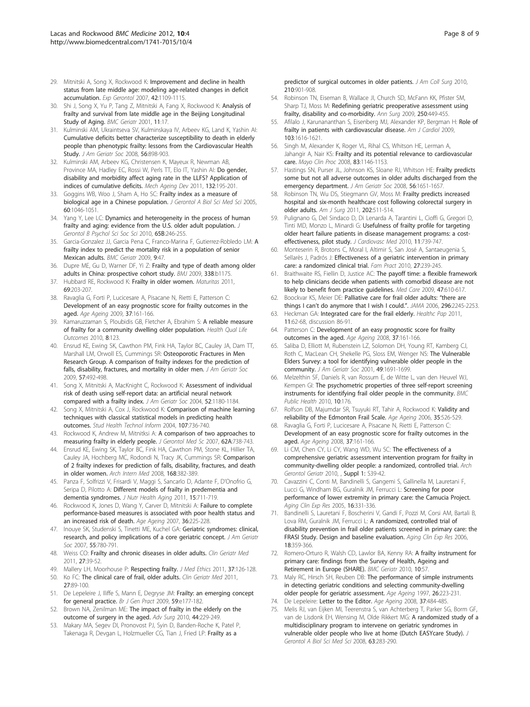- <span id="page-7-0"></span>29. Mitnitski A, Song X, Rockwood K: [Improvement and decline in health](http://www.ncbi.nlm.nih.gov/pubmed/17855035?dopt=Abstract) [status from late middle age: modeling age-related changes in deficit](http://www.ncbi.nlm.nih.gov/pubmed/17855035?dopt=Abstract) [accumulation.](http://www.ncbi.nlm.nih.gov/pubmed/17855035?dopt=Abstract) Exp Gerontol 2007, 42:1109-1115.
- 30. Shi J, Song X, Yu P, Tang Z, Mitnitski A, Fang X, Rockwood K: Analysis of frailty and survival from late middle age in the Beijing Longitudinal Study of Aging. BMC Geriatr 2001, 11:17.
- 31. Kulminski AM, Ukraintseva SV, Kulminskaya IV, Arbeev KG, Land K, Yashin AI: [Cumulative deficits better characterize susceptibility to death in elderly](http://www.ncbi.nlm.nih.gov/pubmed/18363679?dopt=Abstract) [people than phenotypic frailty: lessons from the Cardiovascular Health](http://www.ncbi.nlm.nih.gov/pubmed/18363679?dopt=Abstract) [Study.](http://www.ncbi.nlm.nih.gov/pubmed/18363679?dopt=Abstract) J Am Geriatr Soc 2008, 56:898-903.
- 32. Kulminski AM, Arbeev KG, Christensen K, Mayeux R, Newman AB, Province MA, Hadley EC, Rossi W, Perls TT, Elo IT, Yashin AI: [Do gender,](http://www.ncbi.nlm.nih.gov/pubmed/21463647?dopt=Abstract) [disability and morbidity affect aging rate in the LLFS? Application of](http://www.ncbi.nlm.nih.gov/pubmed/21463647?dopt=Abstract) [indices of cumulative deficits.](http://www.ncbi.nlm.nih.gov/pubmed/21463647?dopt=Abstract) Mech Ageing Dev 2011, 132:195-201.
- 33. Goggins WB, Woo J, Sham A, Ho SC: [Frailty index as a measure of](http://www.ncbi.nlm.nih.gov/pubmed/16127111?dopt=Abstract) [biological age in a Chinese population.](http://www.ncbi.nlm.nih.gov/pubmed/16127111?dopt=Abstract) J Gerontol A Biol Sci Med Sci 2005, 60:1046-1051.
- 34. Yang Y, Lee LC: [Dynamics and heterogeneity in the process of human](http://www.ncbi.nlm.nih.gov/pubmed/20007299?dopt=Abstract) [frailty and aging: evidence from the U.S. older adult population.](http://www.ncbi.nlm.nih.gov/pubmed/20007299?dopt=Abstract) J Gerontol B Psychol Sci Soc Sci 2010, 65B:246-255.
- 35. Garcia-Gonzalez JJ, Garcia Pena C, Franco-Marina F, Gutierrez-Robledo LM: [A](http://www.ncbi.nlm.nih.gov/pubmed/19887005?dopt=Abstract) [frailty index to predict the mortality risk in a population of senior](http://www.ncbi.nlm.nih.gov/pubmed/19887005?dopt=Abstract) [Mexican adults.](http://www.ncbi.nlm.nih.gov/pubmed/19887005?dopt=Abstract) BMC Geriatr 2009, 9:47.
- 36. Dupre ME, Gu D, Warner DF, Yi Z: [Frailty and type of death among older](http://www.ncbi.nlm.nih.gov/pubmed/19359289?dopt=Abstract) [adults in China: prospective cohort study.](http://www.ncbi.nlm.nih.gov/pubmed/19359289?dopt=Abstract) BMJ 2009, 338:b1175.
- 37. Hubbard RE, Rockwood K: [Frailty in older women.](http://www.ncbi.nlm.nih.gov/pubmed/21570783?dopt=Abstract) Maturitas 2011, 69:203-207.
- 38. Ravaglia G, Forti P, Lucicesare A, Pisacane N, Rietti E, Patterson C: Development of an easy prognostic score for frailty outcomes in the aged. Age Ageing 2009, 37:161-166.
- 39. Kamaruzzaman S, Ploubidis GB, Fletcher A, Ebrahim S: [A reliable measure](http://www.ncbi.nlm.nih.gov/pubmed/21029450?dopt=Abstract) [of frailty for a community dwelling older population.](http://www.ncbi.nlm.nih.gov/pubmed/21029450?dopt=Abstract) Health Qual Life Outcomes 2010, 8:123.
- 40. Ensrud KE, Ewing SK, Cawthon PM, Fink HA, Taylor BC, Cauley JA, Dam TT, Marshall LM, Orwoll ES, Cummings SR: [Osteoporotic Fractures in Men](http://www.ncbi.nlm.nih.gov/pubmed/19245414?dopt=Abstract) [Research Group. A comparison of frailty indexes for the prediction of](http://www.ncbi.nlm.nih.gov/pubmed/19245414?dopt=Abstract) [falls, disability, fractures, and mortality in older men.](http://www.ncbi.nlm.nih.gov/pubmed/19245414?dopt=Abstract) J Am Geriatr Soc 2009, 57:492-498.
- 41. Song X, Mitnitski A, MacKnight C, Rockwood K: [Assessment of individual](http://www.ncbi.nlm.nih.gov/pubmed/15209659?dopt=Abstract) [risk of death using self-report data: an artificial neural network](http://www.ncbi.nlm.nih.gov/pubmed/15209659?dopt=Abstract) [compared with a frailty index.](http://www.ncbi.nlm.nih.gov/pubmed/15209659?dopt=Abstract) J Am Geriatr Soc 2004, 52:1180-1184.
- 42. Song X, Mitnitski A, Cox J, Rockwood K: [Comparison of machine learning](http://www.ncbi.nlm.nih.gov/pubmed/15360910?dopt=Abstract) [techniques with classical statistical models in predicting health](http://www.ncbi.nlm.nih.gov/pubmed/15360910?dopt=Abstract) [outcomes.](http://www.ncbi.nlm.nih.gov/pubmed/15360910?dopt=Abstract) Stud Health Technol Inform 2004, 107:736-740.
- 43. Rockwood K, Andrew M, Mitnitksi A: A comparison of two approaches to measuring frailty in elderly people. J Gerontol Med Sc 2007, 62A:738-743.
- 44. Ensrud KE, Ewing SK, Taylor BC, Fink HA, Cawthon PM, Stone KL, Hillier TA, Cauley JA, Hochberg MC, Rodondi N, Tracy JK, Cummings SR: [Comparison](http://www.ncbi.nlm.nih.gov/pubmed/18299493?dopt=Abstract) [of 2 frailty indexes for prediction of falls, disability, fractures, and death](http://www.ncbi.nlm.nih.gov/pubmed/18299493?dopt=Abstract) [in older women.](http://www.ncbi.nlm.nih.gov/pubmed/18299493?dopt=Abstract) Arch Intern Med 2008, 168:382-389.
- 45. Panza F, Solfrizzi V, Frisardi V, Maggi S, Sancarlo D, Adante F, D'Onofrio G, Seripa D, Pilotto A: [Different models of frailty in predementia and](http://www.ncbi.nlm.nih.gov/pubmed/21968870?dopt=Abstract) [dementia syndromes.](http://www.ncbi.nlm.nih.gov/pubmed/21968870?dopt=Abstract) J Nutr Health Aging 2011, 15:711-719.
- 46. Rockwood K, Jones D, Wang Y, Carver D, Mitnitski A: [Failure to complete](http://www.ncbi.nlm.nih.gov/pubmed/17259639?dopt=Abstract) [performance-based measures is associated with poor health status and](http://www.ncbi.nlm.nih.gov/pubmed/17259639?dopt=Abstract) [an increased risk of death.](http://www.ncbi.nlm.nih.gov/pubmed/17259639?dopt=Abstract) Age Ageing 2007, 36:225-228.
- 47. Inouye SK, Studenski S, Tinetti ME, Kuchel GA: [Geriatric syndromes: clinical,](http://www.ncbi.nlm.nih.gov/pubmed/17493201?dopt=Abstract) [research, and policy implications of a core geriatric concept.](http://www.ncbi.nlm.nih.gov/pubmed/17493201?dopt=Abstract) J Am Geriatr Soc 2007, 55:780-791.
- 48. Weiss CO: [Frailty and chronic diseases in older adults.](http://www.ncbi.nlm.nih.gov/pubmed/21093721?dopt=Abstract) Clin Geriatr Med 2011, 27:39-52.
- 49. Mallery LH, Moorhouse P: [Respecting frailty.](http://www.ncbi.nlm.nih.gov/pubmed/21097941?dopt=Abstract) J Med Ethics 2011, 37:126-128.
- 50. Ko FC: [The clinical care of frail, older adults.](http://www.ncbi.nlm.nih.gov/pubmed/21093725?dopt=Abstract) Clin Geriatr Med 2011, 27:89-100.
- 51. De Lepeleire J, Iliffe S, Mann E, Degryse JM: [Frailty: an emerging concept](http://www.ncbi.nlm.nih.gov/pubmed/19401013?dopt=Abstract) [for general practice.](http://www.ncbi.nlm.nih.gov/pubmed/19401013?dopt=Abstract) Br J Gen Pract 2009, 59:e177-182.
- 52. Brown NA, Zenilman ME: [The impact of frailty in the elderly on the](http://www.ncbi.nlm.nih.gov/pubmed/20919524?dopt=Abstract) [outcome of surgery in the aged.](http://www.ncbi.nlm.nih.gov/pubmed/20919524?dopt=Abstract) Adv Surg 2010, 44:229-249.
- 53. Makary MA, Segev DI, Pronovost PJ, Syin D, Banden-Roche K, Patel P, Takenaga R, Devgan L, Holzmueller CG, Tian J, Fried LP: [Frailty as a](http://www.ncbi.nlm.nih.gov/pubmed/20510798?dopt=Abstract)

[predictor of surgical outcomes in older patients.](http://www.ncbi.nlm.nih.gov/pubmed/20510798?dopt=Abstract) J Am Coll Surg 2010. 210:901-908.

- 54. Robinson TN, Eiseman B, Wallace JI, Church SD, McFann KK, Pfister SM, Sharp TJ, Moss M: [Redefining geriatric preoperative assessment using](http://www.ncbi.nlm.nih.gov/pubmed/19730176?dopt=Abstract) [frailty, disability and co-morbidity.](http://www.ncbi.nlm.nih.gov/pubmed/19730176?dopt=Abstract) Ann Surg 2009, 250:449-455.
- 55. Afilalo J, Karunananthan S, Eisenberg MJ, Alexander KP, Bergman H: [Role of](http://www.ncbi.nlm.nih.gov/pubmed/19463525?dopt=Abstract) [frailty in patients with cardiovascular disease.](http://www.ncbi.nlm.nih.gov/pubmed/19463525?dopt=Abstract) Am J Cardiol 2009, 103:1616-1621.
- 56. Singh M, Alexander K, Roger VL, Rihal CS, Whitson HE, Lerman A, Jahangir A, Nair KS: [Frailty and its potential relevance to cardiovascular](http://www.ncbi.nlm.nih.gov/pubmed/18828975?dopt=Abstract) [care.](http://www.ncbi.nlm.nih.gov/pubmed/18828975?dopt=Abstract) Mayo Clin Proc 2008, 83:1146-1153.
- 57. Hastings SN, Purser JL, Johnson KS, Sloane RJ, Whitson HE: [Frailty predicts](http://www.ncbi.nlm.nih.gov/pubmed/18691282?dopt=Abstract) [some but not all adverse outcomes in older adults discharged from the](http://www.ncbi.nlm.nih.gov/pubmed/18691282?dopt=Abstract) [emergency department.](http://www.ncbi.nlm.nih.gov/pubmed/18691282?dopt=Abstract) J Am Geriatr Soc 2008, 56:1651-1657
- 58. Robinson TN, Wu DS, Stiegmann GV, Moss M: [Frailty predicts increased](http://www.ncbi.nlm.nih.gov/pubmed/21890098?dopt=Abstract) [hospital and six-month healthcare cost following colorectal surgery in](http://www.ncbi.nlm.nih.gov/pubmed/21890098?dopt=Abstract) [older adults.](http://www.ncbi.nlm.nih.gov/pubmed/21890098?dopt=Abstract) Am J Surg 2011, 202:511-514.
- 59. Pulignano G, Del Sindaco D, Di Lenarda A, Tarantini L, Cioffi G, Gregori D, Tinti MD, Monzo L, Minardi G: Usefulness of frailty profile for targeting older heart failure patients in disease management programs: a costeffectiveness, pilot study. J Cardiovasc Med 2010, 11:739-747.
- 60. Monteserin R, Brotons C, Moral I, Altimir S, San José A, Santaeugenia S, Sellarès J, Padrós J: [Effectiveness of a geriatric intervention in primary](http://www.ncbi.nlm.nih.gov/pubmed/20053673?dopt=Abstract) [care: a randomized clinical trial.](http://www.ncbi.nlm.nih.gov/pubmed/20053673?dopt=Abstract) Fam Pract 2010, 27:239-245.
- 61. Braithwaite RS, Fiellin D, Justice AC: [The payoff time: a flexible framework](http://www.ncbi.nlm.nih.gov/pubmed/19433991?dopt=Abstract) [to help clinicians decide when patients with comorbid disease are not](http://www.ncbi.nlm.nih.gov/pubmed/19433991?dopt=Abstract) [likely to benefit from practice guidelines.](http://www.ncbi.nlm.nih.gov/pubmed/19433991?dopt=Abstract) Med Care 2009, 47:610-617.
- 62. Boockvar KS, Meier DE: [Palliative care for frail older adults:](http://www.ncbi.nlm.nih.gov/pubmed/17090771?dopt=Abstract) "there are things I can'[t do anymore that I wish I could.](http://www.ncbi.nlm.nih.gov/pubmed/17090771?dopt=Abstract)". JAMA 2006, 296:2245-2253.
- Heckman GA: [Integrated care for the frail elderly.](http://www.ncbi.nlm.nih.gov/pubmed/21464631?dopt=Abstract) Healthc Pap 2011, 11:62-68, discussion 86-91.
- 64. Patterson C: [Development of an easy prognostic score for frailty](http://www.ncbi.nlm.nih.gov/pubmed/18238805?dopt=Abstract) [outcomes in the aged.](http://www.ncbi.nlm.nih.gov/pubmed/18238805?dopt=Abstract) Age Ageing 2008, 37:161-166.
- 65. Saliba D, Elliott M, Rubenstein LZ, Solomon DH, Young RT, Kamberg CJ, Roth C, MacLean CH, Shekelle PG, Sloss EM, Wenger NS: [The Vulnerable](http://www.ncbi.nlm.nih.gov/pubmed/11844005?dopt=Abstract) [Elders Survey: a tool for identifying vulnerable older people in the](http://www.ncbi.nlm.nih.gov/pubmed/11844005?dopt=Abstract) [community.](http://www.ncbi.nlm.nih.gov/pubmed/11844005?dopt=Abstract) J Am Geriatr Soc 2001, 49:1691-1699.
- 66. Melzelthin SF, Daniels R, van Rossum E, de Witte L, van den Heuvel WJ, Kempen GI: [The psychometric properties of three self-report screening](http://www.ncbi.nlm.nih.gov/pubmed/20353611?dopt=Abstract) [instruments for identifying frail older people in the community.](http://www.ncbi.nlm.nih.gov/pubmed/20353611?dopt=Abstract) BMC Public Health 2010, 10:176.
- 67. Rolfson DB, Majumdar SR, Tsuyuki RT, Tahir A, Rockwood K: [Validity and](http://www.ncbi.nlm.nih.gov/pubmed/16757522?dopt=Abstract) [reliability of the Edmonton Frail Scale.](http://www.ncbi.nlm.nih.gov/pubmed/16757522?dopt=Abstract) Age Ageing 2006, 35:526-529.
- 68. Ravaglia G, Forti P, Lucicesare A, Pisacane N, Rietti E, Patterson C: [Development of an easy prognostic score for frailty outcomes in the](http://www.ncbi.nlm.nih.gov/pubmed/18238805?dopt=Abstract) [aged.](http://www.ncbi.nlm.nih.gov/pubmed/18238805?dopt=Abstract) Age Ageing 2008, 37:161-166.
- 69. Li CM, Chen CY, Li CY, Wang WD, Wu SC: The effectiveness of a comprehensive geriatric assessment intervention program for frailty in community-dwelling older people: a randomized, controlled trial. Arch Gerontol Geriatr 2010, , Suppl 1: S39-42.
- 70. Cavazzini C, Conti M, Bandinelli S, Gangemi S, Gallinella M, Lauretani F, Lucci G, Windham BG, Guralnik JM, Ferrucci L: Screening for poor performance of lower extremity in primary care: the Camucia Project. Aging Clin Exp Res 2005, 16:331-336.
- 71. Bandinelli S, Lauretani F, Boscherini V, Gandi F, Pozzi M, Corsi AM, Bartali B, Lova RM, Guralnik JM, Ferrucci L: [A randomized, controlled trial of](http://www.ncbi.nlm.nih.gov/pubmed/17167299?dopt=Abstract) [disability prevention in frail older patients screened in primary care: the](http://www.ncbi.nlm.nih.gov/pubmed/17167299?dopt=Abstract) [FRASI Study. Design and baseline evaluation.](http://www.ncbi.nlm.nih.gov/pubmed/17167299?dopt=Abstract) Aging Clin Exp Res 2006, 18:359-366.
- 72. Romero-Orturo R, Walsh CD, Lawlor BA, Kenny RA: [A frailty instrument for](http://www.ncbi.nlm.nih.gov/pubmed/20731877?dopt=Abstract) [primary care: findings from the Survey of Health, Ageing and](http://www.ncbi.nlm.nih.gov/pubmed/20731877?dopt=Abstract) [Retirement in Europe \(SHARE\).](http://www.ncbi.nlm.nih.gov/pubmed/20731877?dopt=Abstract) BMC Geriatr 2010, 10:57.
- 73. Maly RC, Hirsch SH, Reuben DB: [The performance of simple instruments](http://www.ncbi.nlm.nih.gov/pubmed/9223719?dopt=Abstract) [in detecting geriatric conditions and selecting community-dwelling](http://www.ncbi.nlm.nih.gov/pubmed/9223719?dopt=Abstract) [older people for geriatric assessment.](http://www.ncbi.nlm.nih.gov/pubmed/9223719?dopt=Abstract) Age Ageing 1997, 26:223-231.
- 74. De Lepeleire: [Letter to the Editor.](http://www.ncbi.nlm.nih.gov/pubmed/18515292?dopt=Abstract) Age Ageing 2008, 37:484-485.
- 75. Melis RJ, van Eijken MI, Teerenstra S, van Achterberg T, Parker SG, Borm GF, van de Lisdonk EH, Wensing M, Olde Rikkert MG: [A randomized study of a](http://www.ncbi.nlm.nih.gov/pubmed/18375877?dopt=Abstract) [multidisciplinary program to intervene on geriatric syndromes in](http://www.ncbi.nlm.nih.gov/pubmed/18375877?dopt=Abstract) [vulnerable older people who live at home \(Dutch EASYcare Study\).](http://www.ncbi.nlm.nih.gov/pubmed/18375877?dopt=Abstract) J Gerontol A Biol Sci Med Sci 2008, 63:283-290.